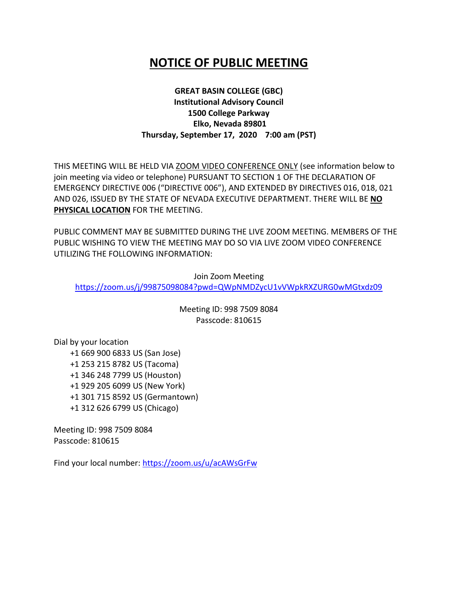## **NOTICE OF PUBLIC MEETING**

## **GREAT BASIN COLLEGE (GBC) Institutional Advisory Council 1500 College Parkway Elko, Nevada 89801 Thursday, September 17, 2020 7:00 am (PST)**

THIS MEETING WILL BE HELD VIA ZOOM VIDEO CONFERENCE ONLY (see information below to join meeting via video or telephone) PURSUANT TO SECTION 1 OF THE DECLARATION OF EMERGENCY DIRECTIVE 006 ("DIRECTIVE 006"), AND EXTENDED BY DIRECTIVES 016, 018, 021 AND 026, ISSUED BY THE STATE OF NEVADA EXECUTIVE DEPARTMENT. THERE WILL BE **NO PHYSICAL LOCATION** FOR THE MEETING.

PUBLIC COMMENT MAY BE SUBMITTED DURING THE LIVE ZOOM MEETING. MEMBERS OF THE PUBLIC WISHING TO VIEW THE MEETING MAY DO SO VIA LIVE ZOOM VIDEO CONFERENCE UTILIZING THE FOLLOWING INFORMATION:

Join Zoom Meeting <https://zoom.us/j/99875098084?pwd=QWpNMDZycU1vVWpkRXZURG0wMGtxdz09>

> Meeting ID: 998 7509 8084 Passcode: 810615

Dial by your location +1 669 900 6833 US (San Jose) +1 253 215 8782 US (Tacoma) +1 346 248 7799 US (Houston) +1 929 205 6099 US (New York) +1 301 715 8592 US (Germantown) +1 312 626 6799 US (Chicago)

Meeting ID: 998 7509 8084 Passcode: 810615

Find your local number:<https://zoom.us/u/acAWsGrFw>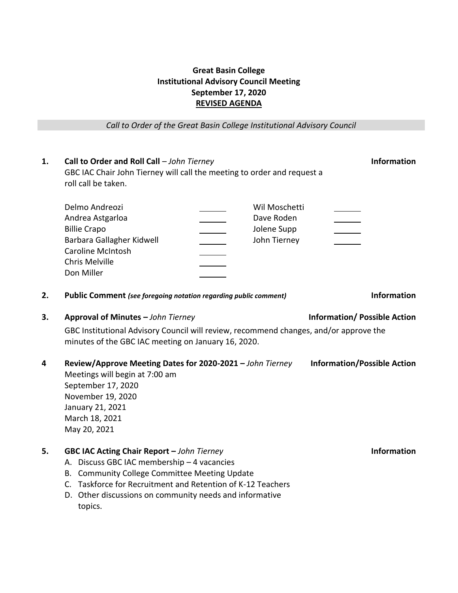## **Great Basin College Institutional Advisory Council Meeting September 17, 2020 REVISED AGENDA**

*Call to Order of the Great Basin College Institutional Advisory Council*

| 1.      | Call to Order and Roll Call - John Tierney<br>GBC IAC Chair John Tierney will call the meeting to order and request a<br>roll call be taken.                                                                                                                                                                                                                                                                                                                   | <b>Information</b> |
|---------|----------------------------------------------------------------------------------------------------------------------------------------------------------------------------------------------------------------------------------------------------------------------------------------------------------------------------------------------------------------------------------------------------------------------------------------------------------------|--------------------|
|         | Wil Moschetti<br>Delmo Andreozi<br>Dave Roden<br>Andrea Astgarloa<br><b>Billie Crapo</b><br>Jolene Supp<br>Barbara Gallagher Kidwell<br>John Tierney<br><b>Caroline McIntosh</b><br><b>Chris Melville</b><br>Don Miller                                                                                                                                                                                                                                        |                    |
| 2.      | <b>Information</b><br><b>Public Comment</b> (see foregoing notation regarding public comment)                                                                                                                                                                                                                                                                                                                                                                  |                    |
| 3.<br>4 | Approval of Minutes - John Tierney<br><b>Information/Possible Action</b><br>GBC Institutional Advisory Council will review, recommend changes, and/or approve the<br>minutes of the GBC IAC meeting on January 16, 2020.<br>Review/Approve Meeting Dates for 2020-2021 - John Tierney<br><b>Information/Possible Action</b><br>Meetings will begin at 7:00 am<br>September 17, 2020<br>November 19, 2020<br>January 21, 2021<br>March 18, 2021<br>May 20, 2021 |                    |
| 5.      | <b>GBC IAC Acting Chair Report - John Tierney</b><br>A. Discuss GBC IAC membership - 4 vacancies<br>B. Community College Committee Meeting Update<br>C. Taskforce for Recruitment and Retention of K-12 Teachers<br>D. Other discussions on community needs and informative<br>topics.                                                                                                                                                                         | <b>Information</b> |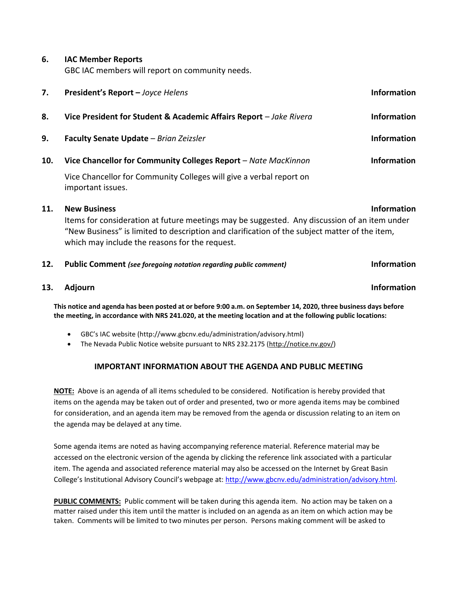**6. IAC Member Reports**

GBC IAC members will report on community needs.

| 7.  | President's Report - Joyce Helens                                                                                                                                                                                                                                                            | <b>Information</b> |
|-----|----------------------------------------------------------------------------------------------------------------------------------------------------------------------------------------------------------------------------------------------------------------------------------------------|--------------------|
| 8.  | Vice President for Student & Academic Affairs Report - Jake Rivera                                                                                                                                                                                                                           | <b>Information</b> |
| 9.  | Faculty Senate Update - Brian Zeizsler                                                                                                                                                                                                                                                       | <b>Information</b> |
| 10. | Vice Chancellor for Community Colleges Report - Nate MacKinnon                                                                                                                                                                                                                               | <b>Information</b> |
|     | Vice Chancellor for Community Colleges will give a verbal report on<br>important issues.                                                                                                                                                                                                     |                    |
| 11. | <b>New Business</b><br><b>Information</b><br>Items for consideration at future meetings may be suggested. Any discussion of an item under<br>"New Business" is limited to description and clarification of the subject matter of the item,<br>which may include the reasons for the request. |                    |
| 12. | Public Comment (see foregoing notation regarding public comment)                                                                                                                                                                                                                             | <b>Information</b> |
| 13. | <b>Adjourn</b>                                                                                                                                                                                                                                                                               | <b>Information</b> |

**This notice and agenda has been posted at or before 9:00 a.m. on September 14, 2020, three business days before the meeting, in accordance with NRS 241.020, at the meeting location and at the following public locations:**

- GBC's IAC website (http://www.gbcnv.edu/administration/advisory.html)
- The Nevada Public Notice website pursuant to NRS 232.2175 [\(http://notice.nv.gov/\)](http://notice.nv.gov/)

## **IMPORTANT INFORMATION ABOUT THE AGENDA AND PUBLIC MEETING**

**NOTE:** Above is an agenda of all items scheduled to be considered. Notification is hereby provided that items on the agenda may be taken out of order and presented, two or more agenda items may be combined for consideration, and an agenda item may be removed from the agenda or discussion relating to an item on the agenda may be delayed at any time.

Some agenda items are noted as having accompanying reference material. Reference material may be accessed on the electronic version of the agenda by clicking the reference link associated with a particular item. The agenda and associated reference material may also be accessed on the Internet by Great Basin College's Institutional Advisory Council's webpage at: [http://www.gbcnv.edu/administration/advisory.html.](http://www.gbcnv.edu/administration/advisory.html)

**PUBLIC COMMENTS:** Public comment will be taken during this agenda item. No action may be taken on a matter raised under this item until the matter is included on an agenda as an item on which action may be taken. Comments will be limited to two minutes per person. Persons making comment will be asked to